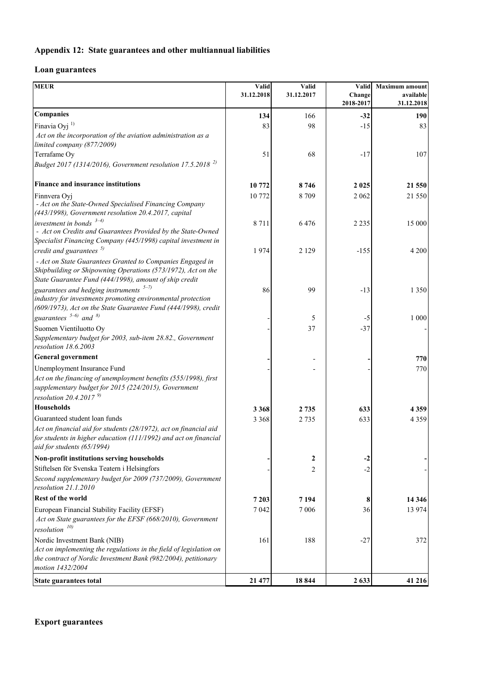## **Appendix 12: State guarantees and other multiannual liabilities**

## **Loan guarantees**

| <b>MEUR</b>                                                                                                            | Valid<br>31.12.2018 | Valid<br>31.12.2017 | Valid<br>Change<br>2018-2017 | <b>Maximum</b> amount<br>available<br>31.12.2018 |
|------------------------------------------------------------------------------------------------------------------------|---------------------|---------------------|------------------------------|--------------------------------------------------|
|                                                                                                                        |                     |                     |                              |                                                  |
| Finavia Oyj <sup>1)</sup>                                                                                              | 83                  | 98                  | $-15$                        | 83                                               |
| Act on the incorporation of the aviation administration as a                                                           |                     |                     |                              |                                                  |
| limited company (877/2009)                                                                                             |                     |                     |                              |                                                  |
| Terrafame Oy                                                                                                           | 51                  | 68                  | $-17$                        | 107                                              |
| Budget 2017 (1314/2016), Government resolution 17.5.2018 <sup>2)</sup>                                                 |                     |                     |                              |                                                  |
| Finance and insurance institutions                                                                                     | 10 772              | 8746                | 2 0 2 5                      | 21 550                                           |
| Finnvera Oyj                                                                                                           | 10772               | 8709                | 2 0 6 2                      | 21 550                                           |
| - Act on the State-Owned Specialised Financing Company<br>(443/1998), Government resolution 20.4.2017, capital         |                     |                     |                              |                                                  |
| investment in bonds $3-4$ )                                                                                            | 8711                | 6476                | 2 2 3 5                      | 15 000                                           |
| - Act on Credits and Guarantees Provided by the State-Owned                                                            |                     |                     |                              |                                                  |
| Specialist Financing Company (445/1998) capital investment in                                                          |                     |                     |                              |                                                  |
| credit and guarantees $5)$                                                                                             | 1974                | 2 1 2 9             | $-155$                       | 4 2 0 0                                          |
| - Act on State Guarantees Granted to Companies Engaged in                                                              |                     |                     |                              |                                                  |
| Shipbuilding or Shipowning Operations (573/1972), Act on the<br>State Guarantee Fund (444/1998), amount of ship credit |                     |                     |                              |                                                  |
| guarantees and hedging instruments $5-7$ )                                                                             | 86                  | 99                  | $-13$                        | 1 3 5 0                                          |
| industry for investments promoting environmental protection                                                            |                     |                     |                              |                                                  |
| (609/1973), Act on the State Guarantee Fund (444/1998), credit                                                         |                     |                     |                              |                                                  |
| guarantees $5-6$ and $8$                                                                                               |                     | 5                   | -5                           | 1 000                                            |
| Suomen Vientiluotto Oy                                                                                                 |                     | 37                  | $-37$                        |                                                  |
| Supplementary budget for 2003, sub-item 28.82., Government                                                             |                     |                     |                              |                                                  |
| resolution 18.6.2003                                                                                                   |                     |                     |                              |                                                  |
| <b>General government</b>                                                                                              |                     |                     |                              | 770                                              |
| Unemployment Insurance Fund                                                                                            |                     |                     |                              | 770                                              |
| Act on the financing of unemployment benefits (555/1998), first                                                        |                     |                     |                              |                                                  |
| supplementary budget for 2015 (224/2015), Government                                                                   |                     |                     |                              |                                                  |
| resolution 20.4.2017 $9$                                                                                               |                     |                     |                              |                                                  |
| <b>Households</b>                                                                                                      | 3 3 6 8             | 2 7 3 5             | 633                          | 4359                                             |
| Guaranteed student loan funds                                                                                          | 3 3 6 8             | 2 7 3 5             | 633                          | 4 3 5 9                                          |
| Act on financial aid for students (28/1972), act on financial aid                                                      |                     |                     |                              |                                                  |
| for students in higher education (111/1992) and act on financial<br>aid for students (65/1994)                         |                     |                     |                              |                                                  |
| Non-profit institutions serving households                                                                             |                     | 2                   | -2                           |                                                  |
| Stiftelsen för Svenska Teatern i Helsingfors                                                                           |                     | 2                   | $-2$                         |                                                  |
| Second supplementary budget for 2009 (737/2009), Government                                                            |                     |                     |                              |                                                  |
| resolution 21.1.2010                                                                                                   |                     |                     |                              |                                                  |
| <b>Rest of the world</b>                                                                                               | 7 2 0 3             | 7 1 9 4             | 8                            | 14 3 46                                          |
| European Financial Stability Facility (EFSF)                                                                           | 7 0 4 2             | 7 0 0 6             | 36                           | 13 974                                           |
| Act on State guarantees for the EFSF (668/2010), Government                                                            |                     |                     |                              |                                                  |
| resolution $^{10)}$                                                                                                    |                     |                     |                              |                                                  |
| Nordic Investment Bank (NIB)                                                                                           | 161                 | 188                 | $-27$                        | 372                                              |
| Act on implementing the regulations in the field of legislation on                                                     |                     |                     |                              |                                                  |
| the contract of Nordic Investment Bank (982/2004), petitionary                                                         |                     |                     |                              |                                                  |
| motion 1432/2004                                                                                                       |                     |                     |                              |                                                  |
| State guarantees total                                                                                                 | 21 477              | 18844               | 2 6 3 3                      | 41 216                                           |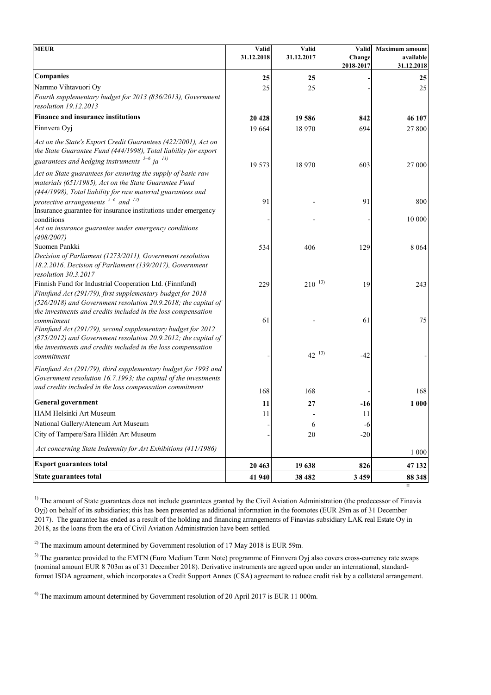| <b>MEUR</b>                                                                                                                                                                                                  | Valid      | <b>Valid</b> | Valid               | <b>Maximum</b> amount   |
|--------------------------------------------------------------------------------------------------------------------------------------------------------------------------------------------------------------|------------|--------------|---------------------|-------------------------|
|                                                                                                                                                                                                              | 31.12.2018 | 31.12.2017   | Change<br>2018-2017 | available<br>31.12.2018 |
| <b>Companies</b>                                                                                                                                                                                             | 25         | 25           |                     | 25                      |
| Nammo Vihtavuori Oy                                                                                                                                                                                          | 25         | 25           |                     | 25                      |
| Fourth supplementary budget for 2013 (836/2013), Government<br>resolution 19.12.2013                                                                                                                         |            |              |                     |                         |
| Finance and insurance institutions                                                                                                                                                                           | 20 4 28    | 19 586       | 842                 | 46 107                  |
| Finnvera Oyj                                                                                                                                                                                                 | 19 664     | 18 970       | 694                 | 27 800                  |
| Act on the State's Export Credit Guarantees (422/2001), Act on<br>the State Guarantee Fund (444/1998), Total liability for export                                                                            |            |              |                     |                         |
| guarantees and hedging instruments $5-6$ ja $^{11}$ )                                                                                                                                                        | 19 573     | 18 970       | 603                 | 27 000                  |
| Act on State guarantees for ensuring the supply of basic raw<br>materials (651/1985), Act on the State Guarantee Fund<br>(444/1998), Total liability for raw material guarantees and                         |            |              |                     |                         |
| protective arrangements $5-6$ and $12$ )<br>Insurance guarantee for insurance institutions under emergency                                                                                                   | 91         |              | 91                  | 800                     |
| conditions<br>Act on insurance guarantee under emergency conditions<br>(408/2007)                                                                                                                            |            |              |                     | 10 000                  |
| Suomen Pankki                                                                                                                                                                                                | 534        | 406          | 129                 | 8 0 6 4                 |
| Decision of Parliament (1273/2011), Government resolution<br>18.2.2016, Decision of Parliament (139/2017), Government<br>resolution 30.3.2017                                                                |            |              |                     |                         |
| Finnish Fund for Industrial Cooperation Ltd. (Finnfund)<br>Finnfund Act (291/79), first supplementary budget for 2018<br>(526/2018) and Government resolution 20.9.2018; the capital of                      | 229        | $210^{-13}$  | 19                  | 243                     |
| the investments and credits included in the loss compensation<br>commitment<br>Finnfund Act (291/79), second supplementary budget for 2012<br>(375/2012) and Government resolution 20.9.2012; the capital of | 61         |              | 61                  | 75                      |
| the investments and credits included in the loss compensation<br>commitment                                                                                                                                  |            | $42^{13}$    | $-42$               |                         |
| Finnfund Act (291/79), third supplementary budget for 1993 and<br>Government resolution 16.7.1993; the capital of the investments                                                                            |            |              |                     |                         |
| and credits included in the loss compensation commitment                                                                                                                                                     | 168        | 168          |                     | 168                     |
| <b>General government</b>                                                                                                                                                                                    | 11         | 27           | $-16$               | 1 0 0 0                 |
| HAM Helsinki Art Museum                                                                                                                                                                                      | 11         |              | 11                  |                         |
| National Gallery/Ateneum Art Museum                                                                                                                                                                          |            | 6            | $-6$                |                         |
| City of Tampere/Sara Hildén Art Museum                                                                                                                                                                       |            | 20           | $-20$               |                         |
| Act concerning State Indemnity for Art Exhibitions (411/1986)                                                                                                                                                |            |              |                     | 1 0 0 0                 |
| <b>Export guarantees total</b>                                                                                                                                                                               | 20 4 63    | 19638        | 826                 | 47 132                  |
| <b>State guarantees total</b>                                                                                                                                                                                | 41 940     | 38 482       | 3 4 5 9             | 88 348                  |

<sup>1)</sup> The amount of State guarantees does not include guarantees granted by the Civil Aviation Administration (the predecessor of Finavia Oyj) on behalf of its subsidiaries; this has been presented as additional information in the footnotes (EUR 29m as of 31 December 2017). The guarantee has ended as a result of the holding and financing arrangements of Finavias subsidiary LAK real Estate Oy in 2018, as the loans from the era of Civil Aviation Administration have been settled.

<sup>2)</sup> The maximum amount determined by Government resolution of 17 May 2018 is EUR 59m.

<sup>3)</sup> The guarantee provided to the EMTN (Euro Medium Term Note) programme of Finnvera Oyj also covers cross-currency rate swaps (nominal amount EUR 8 703m as of 31 December 2018). Derivative instruments are agreed upon under an international, standardformat ISDA agreement, which incorporates a Credit Support Annex (CSA) agreement to reduce credit risk by a collateral arrangement.

<sup>4)</sup> The maximum amount determined by Government resolution of 20 April 2017 is EUR 11 000m.